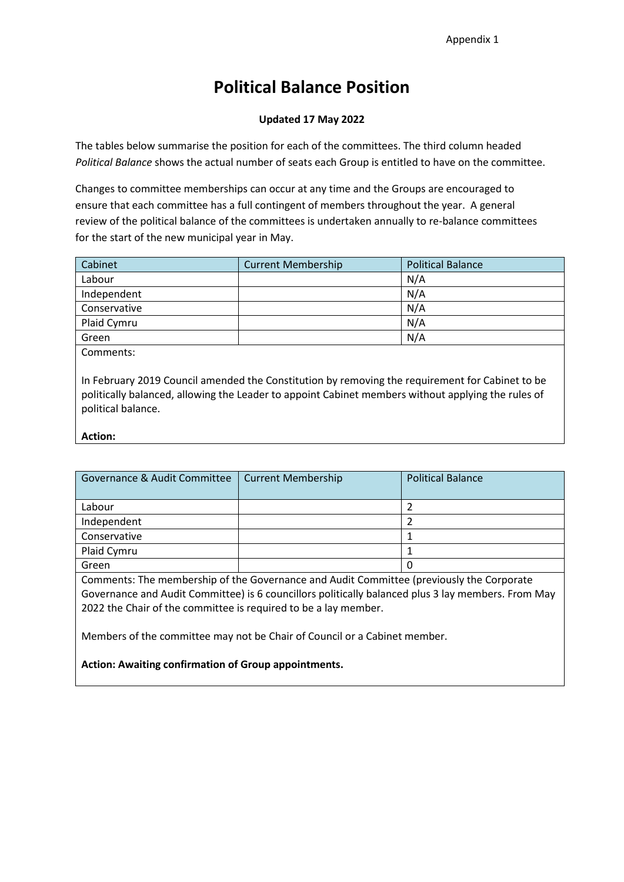# **Political Balance Position**

#### **Updated 17 May 2022**

The tables below summarise the position for each of the committees. The third column headed *Political Balance* shows the actual number of seats each Group is entitled to have on the committee.

Changes to committee memberships can occur at any time and the Groups are encouraged to ensure that each committee has a full contingent of members throughout the year. A general review of the political balance of the committees is undertaken annually to re-balance committees for the start of the new municipal year in May.

| Cabinet      | <b>Current Membership</b> | <b>Political Balance</b> |
|--------------|---------------------------|--------------------------|
| Labour       |                           | N/A                      |
| Independent  |                           | N/A                      |
| Conservative |                           | N/A                      |
| Plaid Cymru  |                           | N/A                      |
| Green        |                           | N/A                      |

Comments:

In February 2019 Council amended the Constitution by removing the requirement for Cabinet to be politically balanced, allowing the Leader to appoint Cabinet members without applying the rules of political balance.

#### **Action:**

| Governance & Audit Committee | <b>Current Membership</b> | <b>Political Balance</b> |
|------------------------------|---------------------------|--------------------------|
| Labour                       |                           |                          |
| Independent                  |                           |                          |
| Conservative                 |                           |                          |
| Plaid Cymru                  |                           |                          |
| Green                        |                           |                          |

Comments: The membership of the Governance and Audit Committee (previously the Corporate Governance and Audit Committee) is 6 councillors politically balanced plus 3 lay members. From May 2022 the Chair of the committee is required to be a lay member.

Members of the committee may not be Chair of Council or a Cabinet member.

**Action: Awaiting confirmation of Group appointments.**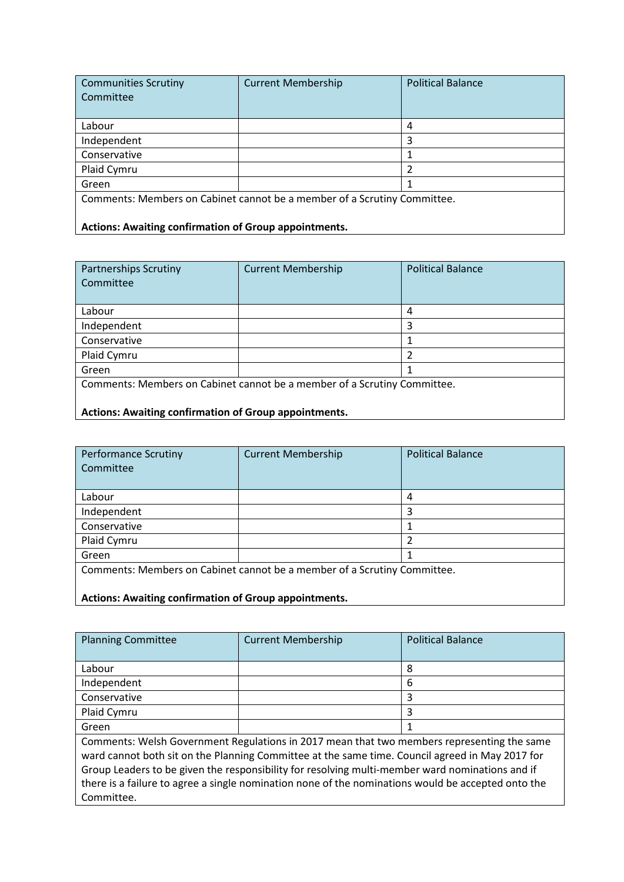| <b>Communities Scrutiny</b><br>Committee                                 | <b>Current Membership</b> | <b>Political Balance</b> |
|--------------------------------------------------------------------------|---------------------------|--------------------------|
| Labour                                                                   |                           | 4                        |
| Independent                                                              |                           | 3                        |
| Conservative                                                             |                           |                          |
| Plaid Cymru                                                              |                           |                          |
| Green                                                                    |                           |                          |
| Comments: Members on Cabinet cannot be a member of a Scrutiny Committee. |                           |                          |

**Actions: Awaiting confirmation of Group appointments.**

| <b>Partnerships Scrutiny</b><br>Committee                                | <b>Current Membership</b> | <b>Political Balance</b> |
|--------------------------------------------------------------------------|---------------------------|--------------------------|
| Labour                                                                   |                           | 4                        |
| Independent                                                              |                           | 3                        |
| Conservative                                                             |                           |                          |
| Plaid Cymru                                                              |                           |                          |
| Green                                                                    |                           |                          |
| Comments: Members on Cabinet cannot be a member of a Scrutiny Committee. |                           |                          |

## **Actions: Awaiting confirmation of Group appointments.**

| <b>Performance Scrutiny</b><br>Committee                                 | <b>Current Membership</b> | <b>Political Balance</b> |
|--------------------------------------------------------------------------|---------------------------|--------------------------|
| Labour                                                                   |                           | 4                        |
| Independent                                                              |                           | 3                        |
| Conservative                                                             |                           |                          |
| Plaid Cymru                                                              |                           |                          |
| Green                                                                    |                           |                          |
| Comments: Members on Cabinet cannot be a member of a Scrutiny Committee. |                           |                          |
| <b>Actions: Awaiting confirmation of Group appointments.</b>             |                           |                          |

Planning Committee Current Membership Political Balance Labour 8 Independent 6 Conservative and the set of the set of the set of the set of the set of the set of the set of the set of the set of the set of the set of the set of the set of the set of the set of the set of the set of the set of the set Plaid Cymru 2008 | 2008 | 2009 | 2009 | 2009 | 2009 | 2009 | 2009 | 2009 | 2009 | 2009 | 2009 | 2009 | 2009 | 2009 | 2009 | 2009 | 2009 | 2009 | 2009 | 2009 | 2009 | 2009 | 2009 | 2009 | 2009 | 2009 | 2009 | 2009 | 2009 | Green  $\vert$  1 Comments: Welsh Government Regulations in 2017 mean that two members representing the same ward cannot both sit on the Planning Committee at the same time. Council agreed in May 2017 for Group Leaders to be given the responsibility for resolving multi-member ward nominations and if there is a failure to agree a single nomination none of the nominations would be accepted onto the Committee.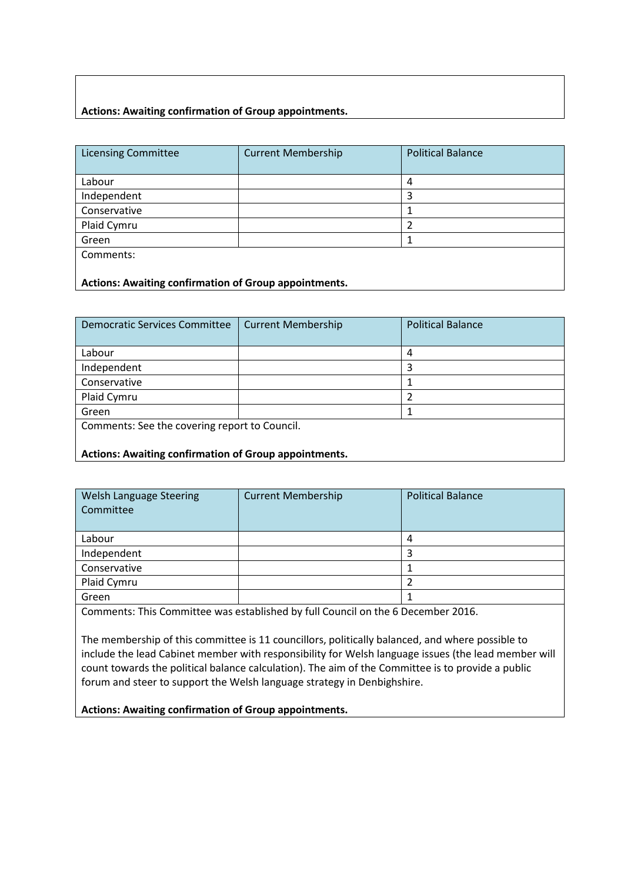## **Actions: Awaiting confirmation of Group appointments.**

| <b>Licensing Committee</b>                            | <b>Current Membership</b> | <b>Political Balance</b> |
|-------------------------------------------------------|---------------------------|--------------------------|
|                                                       |                           |                          |
| Labour                                                |                           | 4                        |
| Independent                                           |                           | 3                        |
| Conservative                                          |                           |                          |
| Plaid Cymru                                           |                           | າ                        |
| Green                                                 |                           |                          |
| Comments:                                             |                           |                          |
|                                                       |                           |                          |
| Actions: Awaiting confirmation of Group appointments. |                           |                          |

| <b>Democratic Services Committee</b>                  | <b>Current Membership</b> | <b>Political Balance</b> |
|-------------------------------------------------------|---------------------------|--------------------------|
| Labour                                                |                           |                          |
| Independent                                           |                           |                          |
| Conservative                                          |                           |                          |
| Plaid Cymru                                           |                           |                          |
| Green                                                 |                           |                          |
| Comments: See the covering report to Council.         |                           |                          |
|                                                       |                           |                          |
| Actions: Awaiting confirmation of Group appointments. |                           |                          |

| Welsh Language Steering<br>Committee | <b>Current Membership</b> | <b>Political Balance</b> |
|--------------------------------------|---------------------------|--------------------------|
| Labour                               |                           |                          |
| Independent                          |                           |                          |
| Conservative                         |                           |                          |
| Plaid Cymru                          |                           |                          |
| Green                                |                           |                          |
|                                      |                           |                          |

Comments: This Committee was established by full Council on the 6 December 2016.

The membership of this committee is 11 councillors, politically balanced, and where possible to include the lead Cabinet member with responsibility for Welsh language issues (the lead member will count towards the political balance calculation). The aim of the Committee is to provide a public forum and steer to support the Welsh language strategy in Denbighshire.

**Actions: Awaiting confirmation of Group appointments.**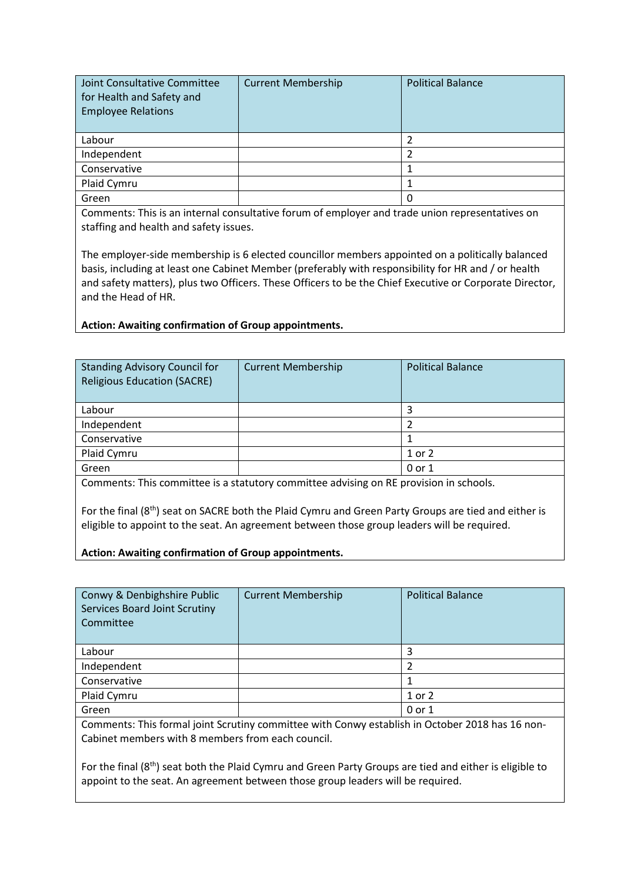| Joint Consultative Committee<br>for Health and Safety and<br><b>Employee Relations</b> | <b>Current Membership</b> | <b>Political Balance</b> |
|----------------------------------------------------------------------------------------|---------------------------|--------------------------|
| Labour                                                                                 |                           |                          |
| Independent                                                                            |                           |                          |
| Conservative                                                                           |                           |                          |
| Plaid Cymru                                                                            |                           |                          |
| Green                                                                                  |                           | 0                        |

Comments: This is an internal consultative forum of employer and trade union representatives on staffing and health and safety issues.

The employer-side membership is 6 elected councillor members appointed on a politically balanced basis, including at least one Cabinet Member (preferably with responsibility for HR and / or health and safety matters), plus two Officers. These Officers to be the Chief Executive or Corporate Director, and the Head of HR.

**Action: Awaiting confirmation of Group appointments.**

| <b>Standing Advisory Council for</b><br><b>Religious Education (SACRE)</b>     | <b>Current Membership</b> | <b>Political Balance</b> |
|--------------------------------------------------------------------------------|---------------------------|--------------------------|
| Labour                                                                         |                           |                          |
| Independent                                                                    |                           |                          |
| Conservative                                                                   |                           |                          |
| Plaid Cymru                                                                    |                           | 1 or 2                   |
| Green                                                                          |                           | 0 or 1                   |
| 그는 그 사람들은 그 사람들을 하고 있는 사람들을 지르는 것을 하고 있다. 그는 그는 그만 없다.<br>$\sim$ $\sim$ $\sim$ |                           |                          |

Comments: This committee is a statutory committee advising on RE provision in schools.

For the final (8<sup>th</sup>) seat on SACRE both the Plaid Cymru and Green Party Groups are tied and either is eligible to appoint to the seat. An agreement between those group leaders will be required.

#### **Action: Awaiting confirmation of Group appointments.**

| Conwy & Denbighshire Public<br>Services Board Joint Scrutiny<br>Committee                                                                            | <b>Current Membership</b> | <b>Political Balance</b> |
|------------------------------------------------------------------------------------------------------------------------------------------------------|---------------------------|--------------------------|
| Labour                                                                                                                                               |                           | 3                        |
| Independent                                                                                                                                          |                           | າ                        |
| Conservative                                                                                                                                         |                           |                          |
| Plaid Cymru                                                                                                                                          |                           | 1 or 2                   |
| Green                                                                                                                                                |                           | 0 or 1                   |
| Comments: This formal joint Scrutiny committee with Conwy establish in October 2018 has 16 non-<br>Cabinet members with 8 members from each council. |                           |                          |

For the final (8<sup>th</sup>) seat both the Plaid Cymru and Green Party Groups are tied and either is eligible to appoint to the seat. An agreement between those group leaders will be required.